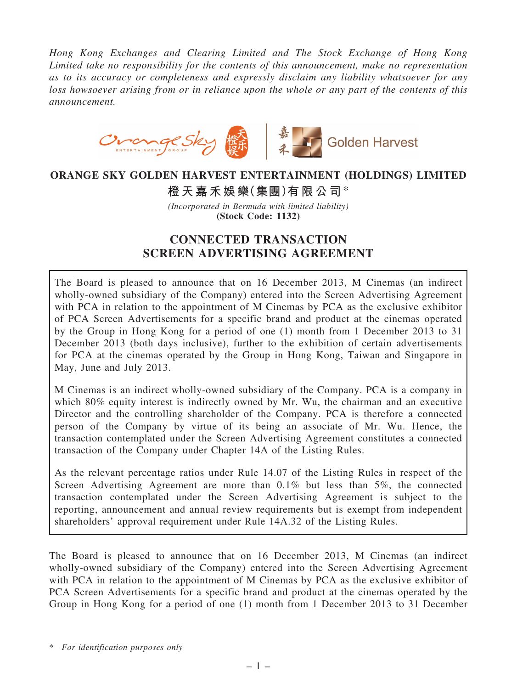*Hong Kong Exchanges and Clearing Limited and The Stock Exchange of Hong Kong Limited take no responsibility for the contents of this announcement, make no representation as to its accuracy or completeness and expressly disclaim any liability whatsoever for any loss howsoever arising from or in reliance upon the whole or any part of the contents of this announcement.*



## ORANGE SKY GOLDEN HARVEST ENTERTAINMENT (HOLDINGS) LIMITED

橙天嘉禾娛樂(集團)有限公司\*

*(Incorporated in Bermuda with limited liability)* (Stock Code: 1132)

# CONNECTED TRANSACTION SCREEN ADVERTISING AGREEMENT

The Board is pleased to announce that on 16 December 2013, M Cinemas (an indirect wholly-owned subsidiary of the Company) entered into the Screen Advertising Agreement with PCA in relation to the appointment of M Cinemas by PCA as the exclusive exhibitor of PCA Screen Advertisements for a specific brand and product at the cinemas operated by the Group in Hong Kong for a period of one (1) month from 1 December 2013 to 31 December 2013 (both days inclusive), further to the exhibition of certain advertisements for PCA at the cinemas operated by the Group in Hong Kong, Taiwan and Singapore in May, June and July 2013.

M Cinemas is an indirect wholly-owned subsidiary of the Company. PCA is a company in which 80% equity interest is indirectly owned by Mr. Wu, the chairman and an executive Director and the controlling shareholder of the Company. PCA is therefore a connected person of the Company by virtue of its being an associate of Mr. Wu. Hence, the transaction contemplated under the Screen Advertising Agreement constitutes a connected transaction of the Company under Chapter 14A of the Listing Rules.

As the relevant percentage ratios under Rule 14.07 of the Listing Rules in respect of the Screen Advertising Agreement are more than 0.1% but less than 5%, the connected transaction contemplated under the Screen Advertising Agreement is subject to the reporting, announcement and annual review requirements but is exempt from independent shareholders' approval requirement under Rule 14A.32 of the Listing Rules.

The Board is pleased to announce that on 16 December 2013, M Cinemas (an indirect wholly-owned subsidiary of the Company) entered into the Screen Advertising Agreement with PCA in relation to the appointment of M Cinemas by PCA as the exclusive exhibitor of PCA Screen Advertisements for a specific brand and product at the cinemas operated by the Group in Hong Kong for a period of one (1) month from 1 December 2013 to 31 December

\* *For identification purposes only*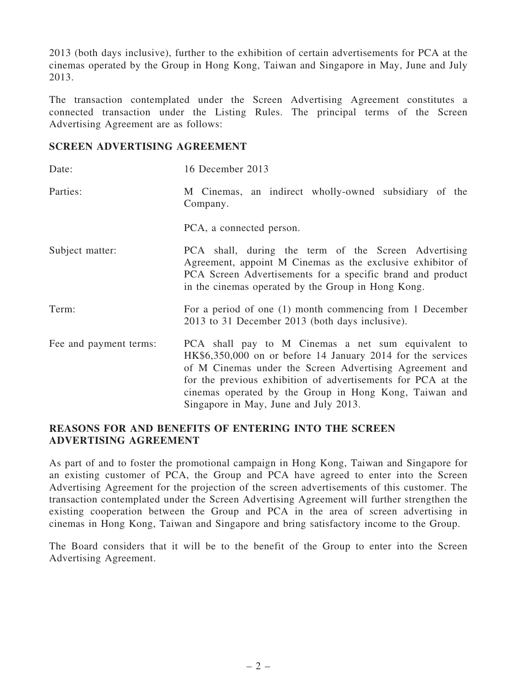2013 (both days inclusive), further to the exhibition of certain advertisements for PCA at the cinemas operated by the Group in Hong Kong, Taiwan and Singapore in May, June and July 2013.

The transaction contemplated under the Screen Advertising Agreement constitutes a connected transaction under the Listing Rules. The principal terms of the Screen Advertising Agreement are as follows:

#### SCREEN ADVERTISING AGREEMENT

| Date:                  | 16 December 2013                                                                                                                                                                                                                                                                                                                                |
|------------------------|-------------------------------------------------------------------------------------------------------------------------------------------------------------------------------------------------------------------------------------------------------------------------------------------------------------------------------------------------|
| Parties:               | M Cinemas, an indirect wholly-owned subsidiary of the<br>Company.                                                                                                                                                                                                                                                                               |
|                        | PCA, a connected person.                                                                                                                                                                                                                                                                                                                        |
| Subject matter:        | PCA shall, during the term of the Screen Advertising<br>Agreement, appoint M Cinemas as the exclusive exhibitor of<br>PCA Screen Advertisements for a specific brand and product<br>in the cinemas operated by the Group in Hong Kong.                                                                                                          |
| Term:                  | For a period of one (1) month commencing from 1 December<br>2013 to 31 December 2013 (both days inclusive).                                                                                                                                                                                                                                     |
| Fee and payment terms: | PCA shall pay to M Cinemas a net sum equivalent to<br>HK\$6,350,000 on or before 14 January 2014 for the services<br>of M Cinemas under the Screen Advertising Agreement and<br>for the previous exhibition of advertisements for PCA at the<br>cinemas operated by the Group in Hong Kong, Taiwan and<br>Singapore in May, June and July 2013. |

#### REASONS FOR AND BENEFITS OF ENTERING INTO THE SCREEN ADVERTISING AGREEMENT

As part of and to foster the promotional campaign in Hong Kong, Taiwan and Singapore for an existing customer of PCA, the Group and PCA have agreed to enter into the Screen Advertising Agreement for the projection of the screen advertisements of this customer. The transaction contemplated under the Screen Advertising Agreement will further strengthen the existing cooperation between the Group and PCA in the area of screen advertising in cinemas in Hong Kong, Taiwan and Singapore and bring satisfactory income to the Group.

The Board considers that it will be to the benefit of the Group to enter into the Screen Advertising Agreement.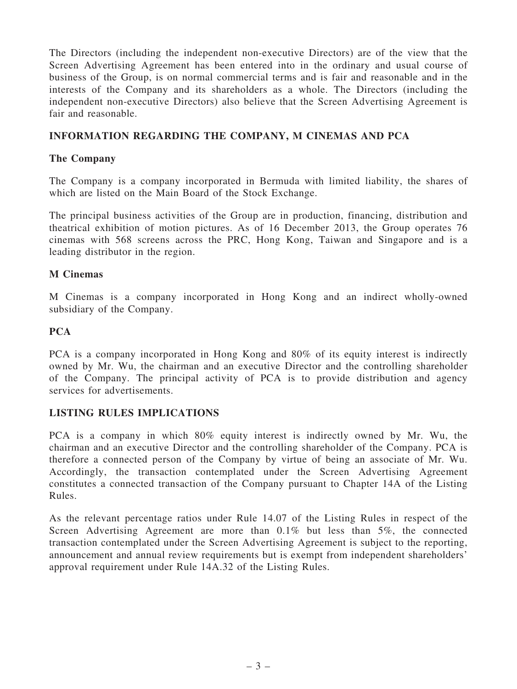The Directors (including the independent non-executive Directors) are of the view that the Screen Advertising Agreement has been entered into in the ordinary and usual course of business of the Group, is on normal commercial terms and is fair and reasonable and in the interests of the Company and its shareholders as a whole. The Directors (including the independent non-executive Directors) also believe that the Screen Advertising Agreement is fair and reasonable.

## INFORMATION REGARDING THE COMPANY, M CINEMAS AND PCA

## The Company

The Company is a company incorporated in Bermuda with limited liability, the shares of which are listed on the Main Board of the Stock Exchange.

The principal business activities of the Group are in production, financing, distribution and theatrical exhibition of motion pictures. As of 16 December 2013, the Group operates 76 cinemas with 568 screens across the PRC, Hong Kong, Taiwan and Singapore and is a leading distributor in the region.

## M Cinemas

M Cinemas is a company incorporated in Hong Kong and an indirect wholly-owned subsidiary of the Company.

## **PCA**

PCA is a company incorporated in Hong Kong and 80% of its equity interest is indirectly owned by Mr. Wu, the chairman and an executive Director and the controlling shareholder of the Company. The principal activity of PCA is to provide distribution and agency services for advertisements.

#### LISTING RULES IMPLICATIONS

PCA is a company in which 80% equity interest is indirectly owned by Mr. Wu, the chairman and an executive Director and the controlling shareholder of the Company. PCA is therefore a connected person of the Company by virtue of being an associate of Mr. Wu. Accordingly, the transaction contemplated under the Screen Advertising Agreement constitutes a connected transaction of the Company pursuant to Chapter 14A of the Listing Rules.

As the relevant percentage ratios under Rule 14.07 of the Listing Rules in respect of the Screen Advertising Agreement are more than 0.1% but less than 5%, the connected transaction contemplated under the Screen Advertising Agreement is subject to the reporting, announcement and annual review requirements but is exempt from independent shareholders' approval requirement under Rule 14A.32 of the Listing Rules.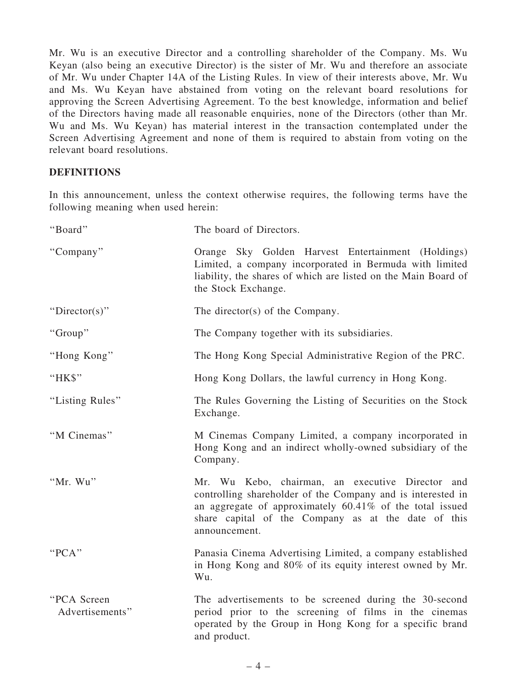Mr. Wu is an executive Director and a controlling shareholder of the Company. Ms. Wu Keyan (also being an executive Director) is the sister of Mr. Wu and therefore an associate of Mr. Wu under Chapter 14A of the Listing Rules. In view of their interests above, Mr. Wu and Ms. Wu Keyan have abstained from voting on the relevant board resolutions for approving the Screen Advertising Agreement. To the best knowledge, information and belief of the Directors having made all reasonable enquiries, none of the Directors (other than Mr. Wu and Ms. Wu Keyan) has material interest in the transaction contemplated under the Screen Advertising Agreement and none of them is required to abstain from voting on the relevant board resolutions.

## **DEFINITIONS**

In this announcement, unless the context otherwise requires, the following terms have the following meaning when used herein:

| "Board"                        | The board of Directors.                                                                                                                                                                                                                                |
|--------------------------------|--------------------------------------------------------------------------------------------------------------------------------------------------------------------------------------------------------------------------------------------------------|
| "Company"                      | Orange Sky Golden Harvest Entertainment (Holdings)<br>Limited, a company incorporated in Bermuda with limited<br>liability, the shares of which are listed on the Main Board of<br>the Stock Exchange.                                                 |
| "Director(s)"                  | The director(s) of the Company.                                                                                                                                                                                                                        |
| "Group"                        | The Company together with its subsidiaries.                                                                                                                                                                                                            |
| "Hong Kong"                    | The Hong Kong Special Administrative Region of the PRC.                                                                                                                                                                                                |
| "HK\$"                         | Hong Kong Dollars, the lawful currency in Hong Kong.                                                                                                                                                                                                   |
| "Listing Rules"                | The Rules Governing the Listing of Securities on the Stock<br>Exchange.                                                                                                                                                                                |
| "M Cinemas"                    | M Cinemas Company Limited, a company incorporated in<br>Hong Kong and an indirect wholly-owned subsidiary of the<br>Company.                                                                                                                           |
| "Mr. Wu"                       | Mr. Wu Kebo, chairman, an executive Director and<br>controlling shareholder of the Company and is interested in<br>an aggregate of approximately $60.41\%$ of the total issued<br>share capital of the Company as at the date of this<br>announcement. |
| "PCA"                          | Panasia Cinema Advertising Limited, a company established<br>in Hong Kong and 80% of its equity interest owned by Mr.<br>Wu.                                                                                                                           |
| "PCA Screen<br>Advertisements" | The advertisements to be screened during the 30-second<br>period prior to the screening of films in the cinemas<br>operated by the Group in Hong Kong for a specific brand<br>and product.                                                             |